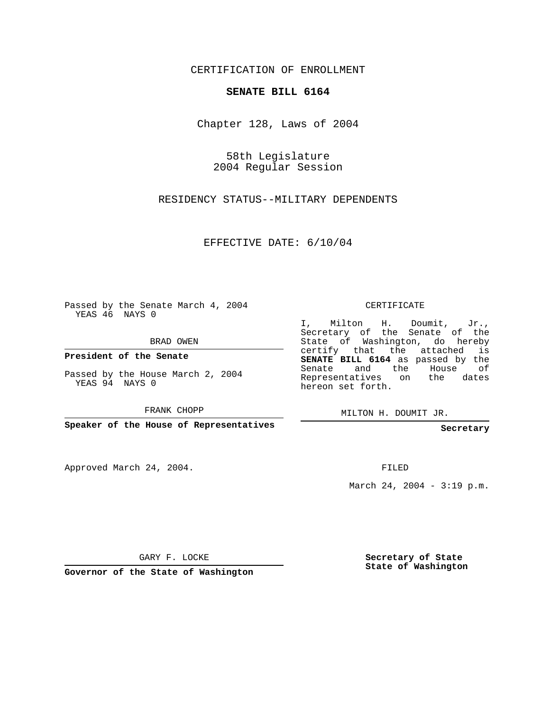CERTIFICATION OF ENROLLMENT

## **SENATE BILL 6164**

Chapter 128, Laws of 2004

58th Legislature 2004 Regular Session

RESIDENCY STATUS--MILITARY DEPENDENTS

EFFECTIVE DATE: 6/10/04

Passed by the Senate March 4, 2004 YEAS 46 NAYS 0

BRAD OWEN

**President of the Senate**

Passed by the House March 2, 2004 YEAS 94 NAYS 0

FRANK CHOPP

**Speaker of the House of Representatives**

Approved March 24, 2004.

CERTIFICATE

I, Milton H. Doumit, Jr., Secretary of the Senate of the State of Washington, do hereby certify that the attached is **SENATE BILL 6164** as passed by the Senate and the House of Representatives on the dates hereon set forth.

MILTON H. DOUMIT JR.

**Secretary**

FILED

March 24, 2004 - 3:19 p.m.

GARY F. LOCKE

**Governor of the State of Washington**

**Secretary of State State of Washington**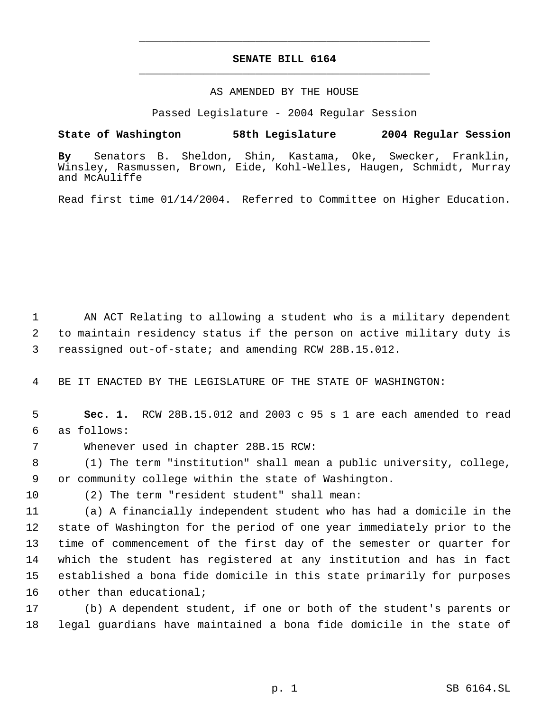## **SENATE BILL 6164** \_\_\_\_\_\_\_\_\_\_\_\_\_\_\_\_\_\_\_\_\_\_\_\_\_\_\_\_\_\_\_\_\_\_\_\_\_\_\_\_\_\_\_\_\_

\_\_\_\_\_\_\_\_\_\_\_\_\_\_\_\_\_\_\_\_\_\_\_\_\_\_\_\_\_\_\_\_\_\_\_\_\_\_\_\_\_\_\_\_\_

## AS AMENDED BY THE HOUSE

Passed Legislature - 2004 Regular Session

**State of Washington 58th Legislature 2004 Regular Session**

**By** Senators B. Sheldon, Shin, Kastama, Oke, Swecker, Franklin, Winsley, Rasmussen, Brown, Eide, Kohl-Welles, Haugen, Schmidt, Murray and McAuliffe

Read first time 01/14/2004. Referred to Committee on Higher Education.

 AN ACT Relating to allowing a student who is a military dependent to maintain residency status if the person on active military duty is reassigned out-of-state; and amending RCW 28B.15.012.

BE IT ENACTED BY THE LEGISLATURE OF THE STATE OF WASHINGTON:

 **Sec. 1.** RCW 28B.15.012 and 2003 c 95 s 1 are each amended to read as follows:

Whenever used in chapter 28B.15 RCW:

 (1) The term "institution" shall mean a public university, college, or community college within the state of Washington.

(2) The term "resident student" shall mean:

 (a) A financially independent student who has had a domicile in the state of Washington for the period of one year immediately prior to the time of commencement of the first day of the semester or quarter for which the student has registered at any institution and has in fact established a bona fide domicile in this state primarily for purposes other than educational;

 (b) A dependent student, if one or both of the student's parents or legal guardians have maintained a bona fide domicile in the state of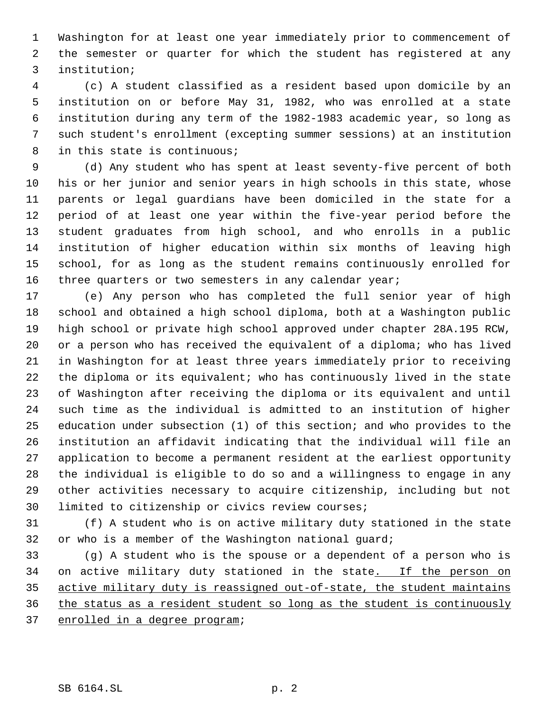Washington for at least one year immediately prior to commencement of the semester or quarter for which the student has registered at any institution;

 (c) A student classified as a resident based upon domicile by an institution on or before May 31, 1982, who was enrolled at a state institution during any term of the 1982-1983 academic year, so long as such student's enrollment (excepting summer sessions) at an institution in this state is continuous;

 (d) Any student who has spent at least seventy-five percent of both his or her junior and senior years in high schools in this state, whose parents or legal guardians have been domiciled in the state for a period of at least one year within the five-year period before the student graduates from high school, and who enrolls in a public institution of higher education within six months of leaving high school, for as long as the student remains continuously enrolled for 16 three quarters or two semesters in any calendar year;

 (e) Any person who has completed the full senior year of high school and obtained a high school diploma, both at a Washington public high school or private high school approved under chapter 28A.195 RCW, or a person who has received the equivalent of a diploma; who has lived in Washington for at least three years immediately prior to receiving the diploma or its equivalent; who has continuously lived in the state of Washington after receiving the diploma or its equivalent and until such time as the individual is admitted to an institution of higher education under subsection (1) of this section; and who provides to the institution an affidavit indicating that the individual will file an application to become a permanent resident at the earliest opportunity the individual is eligible to do so and a willingness to engage in any other activities necessary to acquire citizenship, including but not limited to citizenship or civics review courses;

 (f) A student who is on active military duty stationed in the state 32 or who is a member of the Washington national guard;

 (g) A student who is the spouse or a dependent of a person who is 34 on active military duty stationed in the state. If the person on active military duty is reassigned out-of-state, the student maintains the status as a resident student so long as the student is continuously enrolled in a degree program;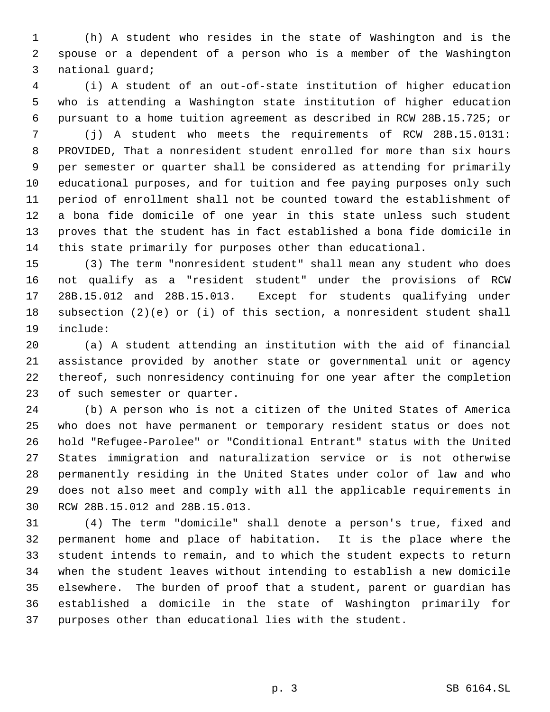(h) A student who resides in the state of Washington and is the spouse or a dependent of a person who is a member of the Washington national guard;

 (i) A student of an out-of-state institution of higher education who is attending a Washington state institution of higher education pursuant to a home tuition agreement as described in RCW 28B.15.725; or

 (j) A student who meets the requirements of RCW 28B.15.0131: PROVIDED, That a nonresident student enrolled for more than six hours per semester or quarter shall be considered as attending for primarily educational purposes, and for tuition and fee paying purposes only such period of enrollment shall not be counted toward the establishment of a bona fide domicile of one year in this state unless such student proves that the student has in fact established a bona fide domicile in this state primarily for purposes other than educational.

 (3) The term "nonresident student" shall mean any student who does not qualify as a "resident student" under the provisions of RCW 28B.15.012 and 28B.15.013. Except for students qualifying under subsection (2)(e) or (i) of this section, a nonresident student shall include:

 (a) A student attending an institution with the aid of financial assistance provided by another state or governmental unit or agency thereof, such nonresidency continuing for one year after the completion of such semester or quarter.

 (b) A person who is not a citizen of the United States of America who does not have permanent or temporary resident status or does not hold "Refugee-Parolee" or "Conditional Entrant" status with the United States immigration and naturalization service or is not otherwise permanently residing in the United States under color of law and who does not also meet and comply with all the applicable requirements in RCW 28B.15.012 and 28B.15.013.

 (4) The term "domicile" shall denote a person's true, fixed and permanent home and place of habitation. It is the place where the student intends to remain, and to which the student expects to return when the student leaves without intending to establish a new domicile elsewhere. The burden of proof that a student, parent or guardian has established a domicile in the state of Washington primarily for purposes other than educational lies with the student.